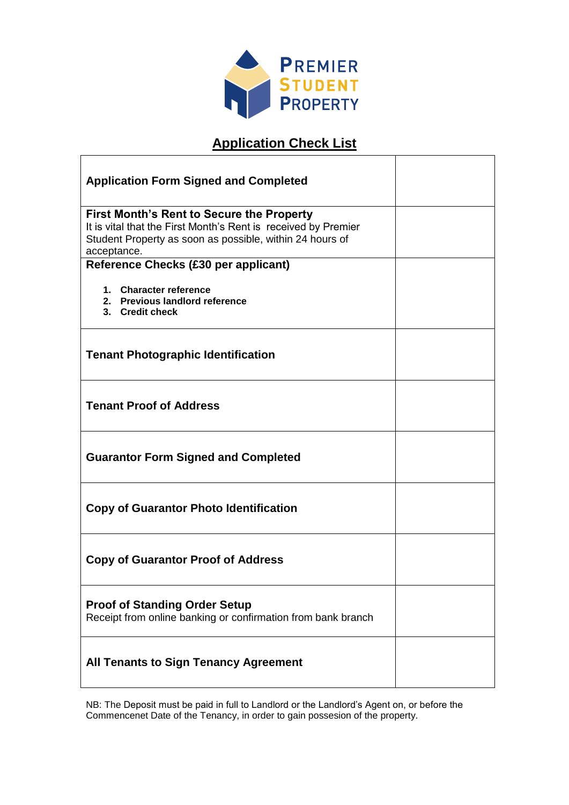

# **Application Check List**

 $\overline{\phantom{a}}$ 

| <b>Application Form Signed and Completed</b>                                                                                                                                                  |  |
|-----------------------------------------------------------------------------------------------------------------------------------------------------------------------------------------------|--|
| <b>First Month's Rent to Secure the Property</b><br>It is vital that the First Month's Rent is received by Premier<br>Student Property as soon as possible, within 24 hours of<br>acceptance. |  |
| Reference Checks (£30 per applicant)                                                                                                                                                          |  |
| 1. Character reference<br>2. Previous landlord reference<br>3. Credit check                                                                                                                   |  |
| <b>Tenant Photographic Identification</b>                                                                                                                                                     |  |
| <b>Tenant Proof of Address</b>                                                                                                                                                                |  |
| <b>Guarantor Form Signed and Completed</b>                                                                                                                                                    |  |
| <b>Copy of Guarantor Photo Identification</b>                                                                                                                                                 |  |
| <b>Copy of Guarantor Proof of Address</b>                                                                                                                                                     |  |
| <b>Proof of Standing Order Setup</b><br>Receipt from online banking or confirmation from bank branch                                                                                          |  |
| <b>All Tenants to Sign Tenancy Agreement</b>                                                                                                                                                  |  |

NB: The Deposit must be paid in full to Landlord or the Landlord's Agent on, or before the Commencenet Date of the Tenancy, in order to gain possesion of the property.